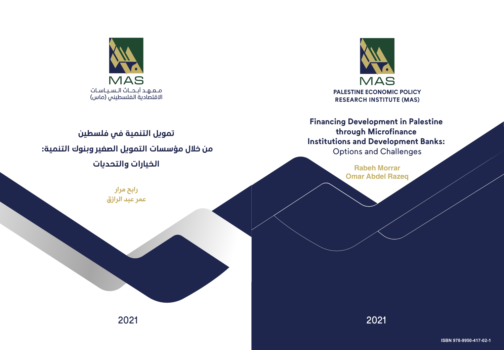

# **Financing Development in Palestine through Microfinance Institutions and Development Banks:**  Options and Challenges

Rabeh Morrar Omar Abdel Razeq

2021 2021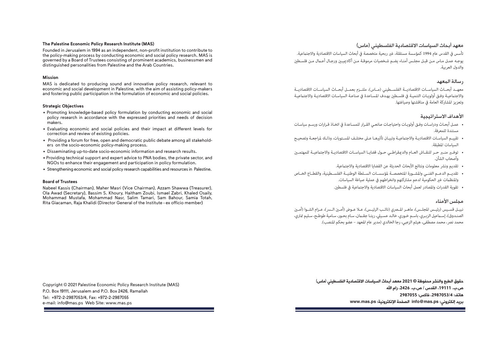#### **The Palestine Economic Policy Research Institute (MAS)**

Founded in Jerusalem in 1994 as an independent, non-profit institution to contribute to the policy-making process by conducting economic and social policy research. MAS is governed by a Board of Trustees consisting of prominent academics, businessmen and distinguished personalities from Palestine and the Arab Countries.

#### **Mission**

MAS is dedicated to producing sound and innovative policy research, relevant to economic and social development in Palestine, with the aim of assisting policy-makers and fostering public participation in the formulation of economic and social policies.

#### **Strategic Objectives**

- Promoting knowledge-based policy formulation by conducting economic and social policy research in accordance with the expressed priorities and needs of decision makers.
- Evaluating economic and social policies and their impact at different levels for correction and review of existing policies.
- Providing a forum for free, open and democratic public debate among all stakeholders on the socio-economic policy-making process.
- Disseminating up-to-date socio-economic information and research results.
- Providing technical support and expert advice to PNA bodies, the private sector, and NGOs to enhance their engagement and participation in policy formulation.
- Strengthening economic and social policy research capabilities and resources in Palestine.

#### **Board of Trustees**

Nabeel Kassis (Chairman), Maher Masri (Vice Chairman), Azzam Shawwa (Treasurer), Ola Awad (Secretary), Bassim S. Khoury, Haitham Zoubi, Ismael Zabri, Khaled Osaily, Mohammad Mustafa, Mohammad Nasr, Salim Tamari, Sam Bahour, Samia Totah, Rita Giacaman, Raja Khalidi (Director General of the Institute - ex officio member)

Copyright © 2021 Palestine Economic Policy Research Institute (MAS) P.O. Box 19111, Jerusalem and P.O. Box 2426, Ramallah Tel: +972-2-2987053/4, Fax: +972-2-2987055 e-mail: info@mas.ps Web Site: www.mas.ps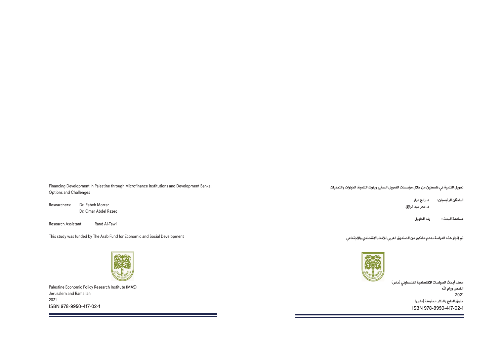Financing Development in Palestine through Microfinance Institutions and Development Banks: Options and Challenges

Researchers: Dr. Rabeh Morrar Dr. Omar Abdel Razeq

Research Assistant: Rand Al-Tawil

This study was funded by The Arab Fund for Economic and Social Development



Palestine Economic Policy Research Institute (MAS) Jerusalem and Ramallah 2021 ISBN 978-9950-417-02-1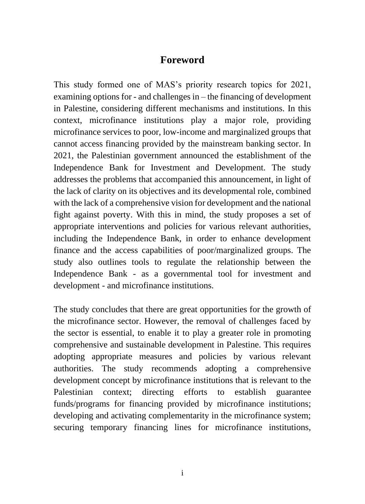## **Foreword**

This study formed one of MAS's priority research topics for 2021, examining options for - and challenges in – the financing of development in Palestine, considering different mechanisms and institutions. In this context, microfinance institutions play a major role, providing microfinance services to poor, low-income and marginalized groups that cannot access financing provided by the mainstream banking sector. In 2021, the Palestinian government announced the establishment of the Independence Bank for Investment and Development. The study addresses the problems that accompanied this announcement, in light of the lack of clarity on its objectives and its developmental role, combined with the lack of a comprehensive vision for development and the national fight against poverty. With this in mind, the study proposes a set of appropriate interventions and policies for various relevant authorities, including the Independence Bank, in order to enhance development finance and the access capabilities of poor/marginalized groups. The study also outlines tools to regulate the relationship between the Independence Bank - as a governmental tool for investment and development - and microfinance institutions.

The study concludes that there are great opportunities for the growth of the microfinance sector. However, the removal of challenges faced by the sector is essential, to enable it to play a greater role in promoting comprehensive and sustainable development in Palestine. This requires adopting appropriate measures and policies by various relevant authorities. The study recommends adopting a comprehensive development concept by microfinance institutions that is relevant to the Palestinian context; directing efforts to establish guarantee funds/programs for financing provided by microfinance institutions; developing and activating complementarity in the microfinance system; securing temporary financing lines for microfinance institutions,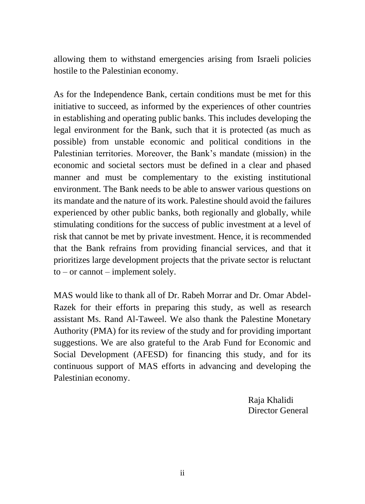allowing them to withstand emergencies arising from Israeli policies hostile to the Palestinian economy.

As for the Independence Bank, certain conditions must be met for this initiative to succeed, as informed by the experiences of other countries in establishing and operating public banks. This includes developing the legal environment for the Bank, such that it is protected (as much as possible) from unstable economic and political conditions in the Palestinian territories. Moreover, the Bank's mandate (mission) in the economic and societal sectors must be defined in a clear and phased manner and must be complementary to the existing institutional environment. The Bank needs to be able to answer various questions on its mandate and the nature of its work. Palestine should avoid the failures experienced by other public banks, both regionally and globally, while stimulating conditions for the success of public investment at a level of risk that cannot be met by private investment. Hence, it is recommended that the Bank refrains from providing financial services, and that it prioritizes large development projects that the private sector is reluctant  $to -$  or cannot – implement solely.

MAS would like to thank all of Dr. Rabeh Morrar and Dr. Omar Abdel-Razek for their efforts in preparing this study, as well as research assistant Ms. Rand Al-Taweel. We also thank the Palestine Monetary Authority (PMA) for its review of the study and for providing important suggestions. We are also grateful to the Arab Fund for Economic and Social Development (AFESD) for financing this study, and for its continuous support of MAS efforts in advancing and developing the Palestinian economy.

> Raja Khalidi Director General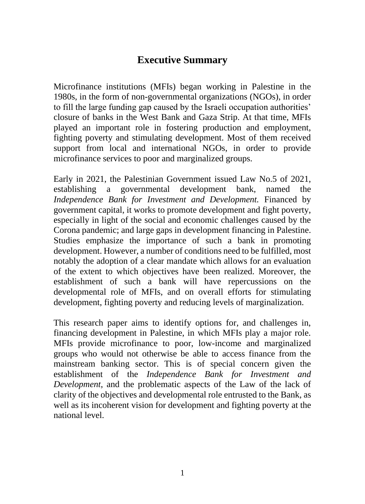# **Executive Summary**

Microfinance institutions (MFIs) began working in Palestine in the 1980s, in the form of non-governmental organizations (NGOs), in order to fill the large funding gap caused by the Israeli occupation authorities' closure of banks in the West Bank and Gaza Strip. At that time, MFIs played an important role in fostering production and employment, fighting poverty and stimulating development. Most of them received support from local and international NGOs, in order to provide microfinance services to poor and marginalized groups.

Early in 2021, the Palestinian Government issued Law No.5 of 2021, establishing a governmental development bank, named the *Independence Bank for Investment and Development.* Financed by government capital, it works to promote development and fight poverty, especially in light of the social and economic challenges caused by the Corona pandemic; and large gaps in development financing in Palestine. Studies emphasize the importance of such a bank in promoting development. However, a number of conditions need to be fulfilled, most notably the adoption of a clear mandate which allows for an evaluation of the extent to which objectives have been realized. Moreover, the establishment of such a bank will have repercussions on the developmental role of MFIs, and on overall efforts for stimulating development, fighting poverty and reducing levels of marginalization.

This research paper aims to identify options for, and challenges in, financing development in Palestine, in which MFIs play a major role. MFIs provide microfinance to poor, low-income and marginalized groups who would not otherwise be able to access finance from the mainstream banking sector. This is of special concern given the establishment of the *Independence Bank for Investment and Development*, and the problematic aspects of the Law of the lack of clarity of the objectives and developmental role entrusted to the Bank, as well as its incoherent vision for development and fighting poverty at the national level.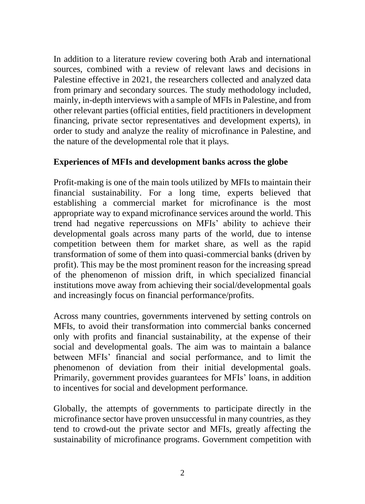In addition to a literature review covering both Arab and international sources, combined with a review of relevant laws and decisions in Palestine effective in 2021, the researchers collected and analyzed data from primary and secondary sources. The study methodology included, mainly, in-depth interviews with a sample of MFIs in Palestine, and from other relevant parties (official entities, field practitioners in development financing, private sector representatives and development experts), in order to study and analyze the reality of microfinance in Palestine, and the nature of the developmental role that it plays.

### **Experiences of MFIs and development banks across the globe**

Profit-making is one of the main tools utilized by MFIs to maintain their financial sustainability. For a long time, experts believed that establishing a commercial market for microfinance is the most appropriate way to expand microfinance services around the world. This trend had negative repercussions on MFIs' ability to achieve their developmental goals across many parts of the world, due to intense competition between them for market share, as well as the rapid transformation of some of them into quasi-commercial banks (driven by profit). This may be the most prominent reason for the increasing spread of the phenomenon of mission drift, in which specialized financial institutions move away from achieving their social/developmental goals and increasingly focus on financial performance/profits.

Across many countries, governments intervened by setting controls on MFIs, to avoid their transformation into commercial banks concerned only with profits and financial sustainability, at the expense of their social and developmental goals. The aim was to maintain a balance between MFIs' financial and social performance, and to limit the phenomenon of deviation from their initial developmental goals. Primarily, government provides guarantees for MFIs' loans, in addition to incentives for social and development performance.

Globally, the attempts of governments to participate directly in the microfinance sector have proven unsuccessful in many countries, as they tend to crowd-out the private sector and MFIs, greatly affecting the sustainability of microfinance programs. Government competition with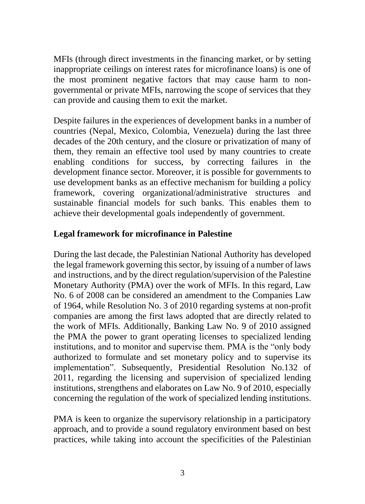MFIs (through direct investments in the financing market, or by setting inappropriate ceilings on interest rates for microfinance loans) is one of the most prominent negative factors that may cause harm to nongovernmental or private MFIs, narrowing the scope of services that they can provide and causing them to exit the market.

Despite failures in the experiences of development banks in a number of countries (Nepal, Mexico, Colombia, Venezuela) during the last three decades of the 20th century, and the closure or privatization of many of them, they remain an effective tool used by many countries to create enabling conditions for success, by correcting failures in the development finance sector. Moreover, it is possible for governments to use development banks as an effective mechanism for building a policy framework, covering organizational/administrative structures and sustainable financial models for such banks. This enables them to achieve their developmental goals independently of government.

## **Legal framework for microfinance in Palestine**

During the last decade, the Palestinian National Authority has developed the legal framework governing this sector, by issuing of a number of laws and instructions, and by the direct regulation/supervision of the Palestine Monetary Authority (PMA) over the work of MFIs. In this regard, Law No. 6 of 2008 can be considered an amendment to the Companies Law of 1964, while Resolution No. 3 of 2010 regarding systems at non-profit companies are among the first laws adopted that are directly related to the work of MFIs. Additionally, Banking Law No. 9 of 2010 assigned the PMA the power to grant operating licenses to specialized lending institutions, and to monitor and supervise them. PMA is the "only body authorized to formulate and set monetary policy and to supervise its implementation". Subsequently, Presidential Resolution No.132 of 2011, regarding the licensing and supervision of specialized lending institutions, strengthens and elaborates on Law No. 9 of 2010, especially concerning the regulation of the work of specialized lending institutions.

PMA is keen to organize the supervisory relationship in a participatory approach, and to provide a sound regulatory environment based on best practices, while taking into account the specificities of the Palestinian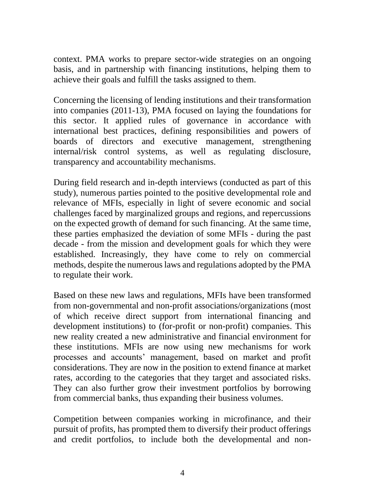context. PMA works to prepare sector-wide strategies on an ongoing basis, and in partnership with financing institutions, helping them to achieve their goals and fulfill the tasks assigned to them.

Concerning the licensing of lending institutions and their transformation into companies (2011-13), PMA focused on laying the foundations for this sector. It applied rules of governance in accordance with international best practices, defining responsibilities and powers of boards of directors and executive management, strengthening internal/risk control systems, as well as regulating disclosure, transparency and accountability mechanisms.

During field research and in-depth interviews (conducted as part of this study), numerous parties pointed to the positive developmental role and relevance of MFIs, especially in light of severe economic and social challenges faced by marginalized groups and regions, and repercussions on the expected growth of demand for such financing. At the same time, these parties emphasized the deviation of some MFIs - during the past decade - from the mission and development goals for which they were established. Increasingly, they have come to rely on commercial methods, despite the numerous laws and regulations adopted by the PMA to regulate their work.

Based on these new laws and regulations, MFIs have been transformed from non-governmental and non-profit associations/organizations (most of which receive direct support from international financing and development institutions) to (for-profit or non-profit) companies. This new reality created a new administrative and financial environment for these institutions. MFIs are now using new mechanisms for work processes and accounts' management, based on market and profit considerations. They are now in the position to extend finance at market rates, according to the categories that they target and associated risks. They can also further grow their investment portfolios by borrowing from commercial banks, thus expanding their business volumes.

Competition between companies working in microfinance, and their pursuit of profits, has prompted them to diversify their product offerings and credit portfolios, to include both the developmental and non-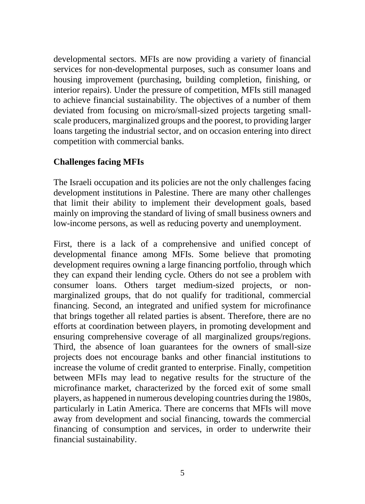developmental sectors. MFIs are now providing a variety of financial services for non-developmental purposes, such as consumer loans and housing improvement (purchasing, building completion, finishing, or interior repairs). Under the pressure of competition, MFIs still managed to achieve financial sustainability. The objectives of a number of them deviated from focusing on micro/small-sized projects targeting smallscale producers, marginalized groups and the poorest, to providing larger loans targeting the industrial sector, and on occasion entering into direct competition with commercial banks.

#### **Challenges facing MFIs**

The Israeli occupation and its policies are not the only challenges facing development institutions in Palestine. There are many other challenges that limit their ability to implement their development goals, based mainly on improving the standard of living of small business owners and low-income persons, as well as reducing poverty and unemployment.

First, there is a lack of a comprehensive and unified concept of developmental finance among MFIs. Some believe that promoting development requires owning a large financing portfolio, through which they can expand their lending cycle. Others do not see a problem with consumer loans. Others target medium-sized projects, or nonmarginalized groups, that do not qualify for traditional, commercial financing. Second, an integrated and unified system for microfinance that brings together all related parties is absent. Therefore, there are no efforts at coordination between players, in promoting development and ensuring comprehensive coverage of all marginalized groups/regions. Third, the absence of loan guarantees for the owners of small-size projects does not encourage banks and other financial institutions to increase the volume of credit granted to enterprise. Finally, competition between MFIs may lead to negative results for the structure of the microfinance market, characterized by the forced exit of some small players, as happened in numerous developing countries during the 1980s, particularly in Latin America. There are concerns that MFIs will move away from development and social financing, towards the commercial financing of consumption and services, in order to underwrite their financial sustainability.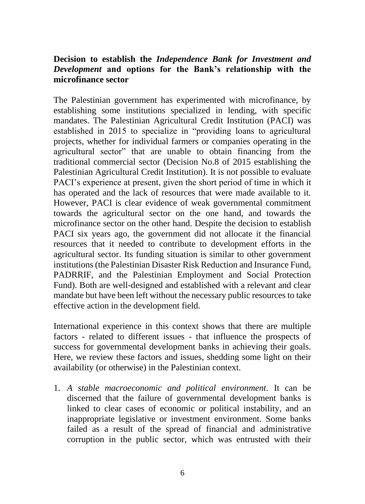#### **Decision to establish the** *Independence Bank for Investment and Development* **and options for the Bank's relationship with the microfinance sector**

The Palestinian government has experimented with microfinance, by establishing some institutions specialized in lending, with specific mandates. The Palestinian Agricultural Credit Institution (PACI) was established in 2015 to specialize in "providing loans to agricultural projects, whether for individual farmers or companies operating in the agricultural sector" that are unable to obtain financing from the traditional commercial sector (Decision No.8 of 2015 establishing the Palestinian Agricultural Credit Institution). It is not possible to evaluate PACI's experience at present, given the short period of time in which it has operated and the lack of resources that were made available to it. However, PACI is clear evidence of weak governmental commitment towards the agricultural sector on the one hand, and towards the microfinance sector on the other hand. Despite the decision to establish PACI six years ago, the government did not allocate it the financial resources that it needed to contribute to development efforts in the agricultural sector. Its funding situation is similar to other government institutions (the Palestinian Disaster Risk Reduction and Insurance Fund, PADRRIF, and the Palestinian Employment and Social Protection Fund). Both are well-designed and established with a relevant and clear mandate but have been left without the necessary public resources to take effective action in the development field.

International experience in this context shows that there are multiple factors - related to different issues - that influence the prospects of success for governmental development banks in achieving their goals. Here, we review these factors and issues, shedding some light on their availability (or otherwise) in the Palestinian context.

1. *A stable macroeconomic and political environment*. It can be discerned that the failure of governmental development banks is linked to clear cases of economic or political instability, and an inappropriate legislative or investment environment. Some banks failed as a result of the spread of financial and administrative corruption in the public sector, which was entrusted with their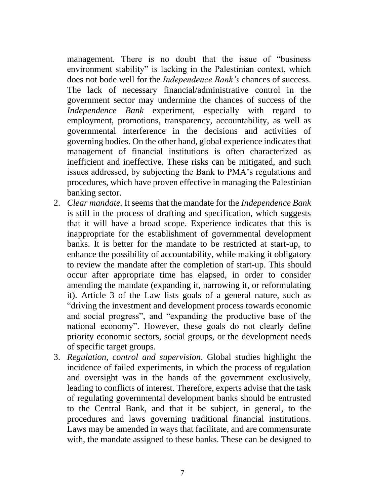management. There is no doubt that the issue of "business environment stability" is lacking in the Palestinian context, which does not bode well for the *Independence Bank's* chances of success. The lack of necessary financial/administrative control in the government sector may undermine the chances of success of the *Independence Bank* experiment, especially with regard to employment, promotions, transparency, accountability, as well as governmental interference in the decisions and activities of governing bodies. On the other hand, global experience indicates that management of financial institutions is often characterized as inefficient and ineffective. These risks can be mitigated, and such issues addressed, by subjecting the Bank to PMA's regulations and procedures, which have proven effective in managing the Palestinian banking sector.

- 2. *Clear mandate*. It seems that the mandate for the *Independence Bank* is still in the process of drafting and specification, which suggests that it will have a broad scope. Experience indicates that this is inappropriate for the establishment of governmental development banks. It is better for the mandate to be restricted at start-up, to enhance the possibility of accountability, while making it obligatory to review the mandate after the completion of start-up. This should occur after appropriate time has elapsed, in order to consider amending the mandate (expanding it, narrowing it, or reformulating it). Article 3 of the Law lists goals of a general nature, such as "driving the investment and development process towards economic and social progress", and "expanding the productive base of the national economy". However, these goals do not clearly define priority economic sectors, social groups, or the development needs of specific target groups.
- 3. *Regulation, control and supervision*. Global studies highlight the incidence of failed experiments, in which the process of regulation and oversight was in the hands of the government exclusively, leading to conflicts of interest. Therefore, experts advise that the task of regulating governmental development banks should be entrusted to the Central Bank, and that it be subject, in general, to the procedures and laws governing traditional financial institutions. Laws may be amended in ways that facilitate, and are commensurate with, the mandate assigned to these banks. These can be designed to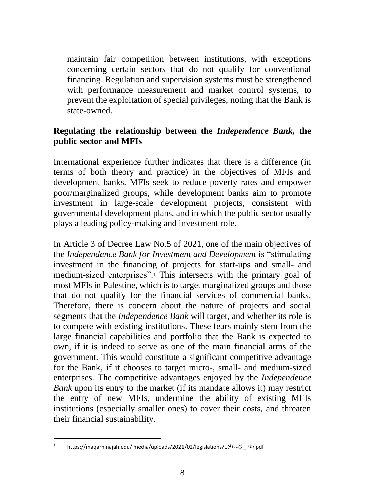maintain fair competition between institutions, with exceptions concerning certain sectors that do not qualify for conventional financing. Regulation and supervision systems must be strengthened with performance measurement and market control systems, to prevent the exploitation of special privileges, noting that the Bank is state-owned.

### **Regulating the relationship between the** *Independence Bank,* **the public sector and MFIs**

International experience further indicates that there is a difference (in terms of both theory and practice) in the objectives of MFIs and development banks. MFIs seek to reduce poverty rates and empower poor/marginalized groups, while development banks aim to promote investment in large-scale development projects, consistent with governmental development plans, and in which the public sector usually plays a leading policy-making and investment role.

In Article 3 of Decree Law No.5 of 2021, one of the main objectives of the *Independence Bank for Investment and Development* is "stimulating investment in the financing of projects for start-ups and small- and medium-sized enterprises".<sup>1</sup> This intersects with the primary goal of most MFIs in Palestine, which is to target marginalized groups and those that do not qualify for the financial services of commercial banks. Therefore, there is concern about the nature of projects and social segments that the *Independence Bank* will target, and whether its role is to compete with existing institutions. These fears mainly stem from the large financial capabilities and portfolio that the Bank is expected to own, if it is indeed to serve as one of the main financial arms of the government. This would constitute a significant competitive advantage for the Bank, if it chooses to target micro-, small- and medium-sized enterprises. The competitive advantages enjoyed by the *Independence Bank* upon its entry to the market (if its mandate allows it) may restrict the entry of new MFIs, undermine the ability of existing MFIs institutions (especially smaller ones) to cover their costs, and threaten their financial sustainability.

<sup>1</sup> https://maqam.najah.edu/ media/uploads/2021/02/legislations/االستقالل\_بنك.pdf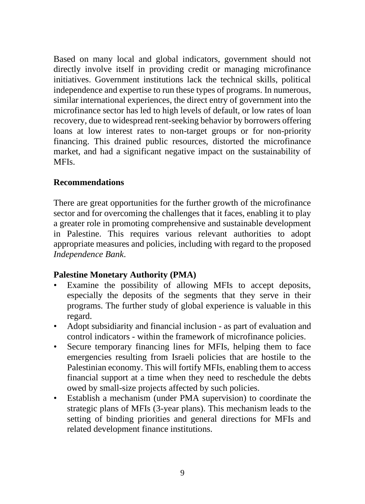Based on many local and global indicators, government should not directly involve itself in providing credit or managing microfinance initiatives. Government institutions lack the technical skills, political independence and expertise to run these types of programs. In numerous, similar international experiences, the direct entry of government into the microfinance sector has led to high levels of default, or low rates of loan recovery, due to widespread rent-seeking behavior by borrowers offering loans at low interest rates to non-target groups or for non-priority financing. This drained public resources, distorted the microfinance market, and had a significant negative impact on the sustainability of MFIs.

#### **Recommendations**

There are great opportunities for the further growth of the microfinance sector and for overcoming the challenges that it faces, enabling it to play a greater role in promoting comprehensive and sustainable development in Palestine. This requires various relevant authorities to adopt appropriate measures and policies, including with regard to the proposed *Independence Bank*.

## **Palestine Monetary Authority (PMA)**

- Examine the possibility of allowing MFIs to accept deposits, especially the deposits of the segments that they serve in their programs. The further study of global experience is valuable in this regard.
- Adopt subsidiarity and financial inclusion as part of evaluation and control indicators - within the framework of microfinance policies.
- Secure temporary financing lines for MFIs, helping them to face emergencies resulting from Israeli policies that are hostile to the Palestinian economy. This will fortify MFIs, enabling them to access financial support at a time when they need to reschedule the debts owed by small-size projects affected by such policies.
- Establish a mechanism (under PMA supervision) to coordinate the strategic plans of MFIs (3-year plans). This mechanism leads to the setting of binding priorities and general directions for MFIs and related development finance institutions.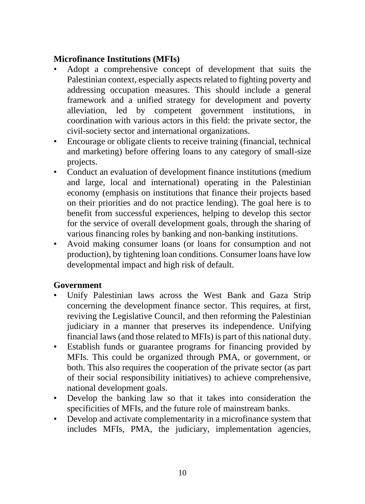#### **Microfinance Institutions (MFIs)**

- Adopt a comprehensive concept of development that suits the Palestinian context, especially aspects related to fighting poverty and addressing occupation measures. This should include a general framework and a unified strategy for development and poverty alleviation, led by competent government institutions, in coordination with various actors in this field: the private sector, the civil-society sector and international organizations.
- Encourage or obligate clients to receive training (financial, technical and marketing) before offering loans to any category of small-size projects.
- Conduct an evaluation of development finance institutions (medium and large, local and international) operating in the Palestinian economy (emphasis on institutions that finance their projects based on their priorities and do not practice lending). The goal here is to benefit from successful experiences, helping to develop this sector for the service of overall development goals, through the sharing of various financing roles by banking and non-banking institutions.
- Avoid making consumer loans (or loans for consumption and not production), by tightening loan conditions. Consumer loans have low developmental impact and high risk of default.

## **Government**

- Unify Palestinian laws across the West Bank and Gaza Strip concerning the development finance sector. This requires, at first, reviving the Legislative Council, and then reforming the Palestinian judiciary in a manner that preserves its independence. Unifying financial laws (and those related to MFIs) is part of this national duty.
- Establish funds or guarantee programs for financing provided by MFIs. This could be organized through PMA, or government, or both. This also requires the cooperation of the private sector (as part of their social responsibility initiatives) to achieve comprehensive, national development goals.
- Develop the banking law so that it takes into consideration the specificities of MFIs, and the future role of mainstream banks.
- Develop and activate complementarity in a microfinance system that includes MFIs, PMA, the judiciary, implementation agencies,